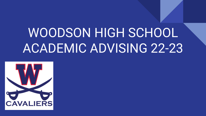# WOODSON HIGH SCHOOL ACADEMIC ADVISING 22-23

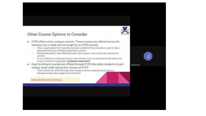### Other Course Options to Consider

- · FCPS offers online campus courses. These courses are offered during the evening once a week and are taught by an FCPS teacher
	- in This is a good option for those who may have a conflict in their schedule or want to take a dual enrollment class offered through online campus
	- Physical education is also offered through online compus in the school year and over the signment
	- Econ in offered as a self paced course in the summer. If you are interested in this option talk to your counselor at registration \*graduation regulrement\*
	- . Dual Enrollment courses are offered through FCPS that allow students to earn college credit while taking their classes at FCPS
		- These classes are offered through online campus, certain academy classes and our Entrepreneurship class taught here at Woodson.

### MORE RIFORMATION ON PADLET.





вети Хограст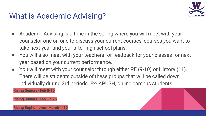

# What is Academic Advising?

- Academic Advising is a time in the spring where you will meet with your counselor one on one to discuss your current courses, courses you want to take next year and your after high school plans.
- You will also meet with your teachers for feedback for your classes for next year based on your current performance.
- You will meet with your counselor through either PE (9-10) or History (11). There will be students outside of these groups that will be called down individually during 3rd periods. Ex- APUSH, online campus students

**Rising Seniors- Feb 8-15**

**Rising Juniors- Feb 17-25**

**Rising Sophomores- March 1-10**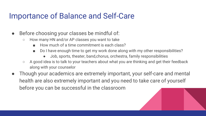## Importance of Balance and Self-Care

- Before choosing your classes be mindful of:
	- How many HN and/or AP classes you want to take
		- How much of a time commitment is each class?
		- Do I have enough time to get my work done along with my other responsibilities?
			- Job, sports, theater, band,chorus, orchestra, family responsibilities
	- A good idea is to talk to your teachers about what you are thinking and get their feedback along with your counselor
- Though your academics are extremely important, your self-care and mental health are also extremely important and you need to take care of yourself before you can be successful in the classroom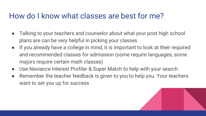# How do I know what classes are best for me?

- Talking to your teachers and counselor about what your post high school plans are can be very helpful in picking your classes
- If you already have a college in mind, it is important to look at their required and recommended classes for admission (some require languages, some majors require certain math classes)
- Use Naviance Interest Profiler & Super Match to help with your search
- Remember the teacher feedback is given to you to help you. Your teachers want to set you up for success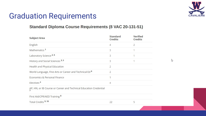

 $\mathbb{Z}$ 

# Graduation Requirements

### **Standard Diploma Course Requirements (8 VAC 20-131-51)**

| <b>Subject Area</b>                                               | <b>Standard</b><br><b>Credits</b> | <b>Verified</b><br><b>Credits</b> |
|-------------------------------------------------------------------|-----------------------------------|-----------------------------------|
| English                                                           | 4                                 | $\overline{2}$                    |
| Mathematics <sup>1</sup>                                          | 3                                 | 1                                 |
| Laboratory Science <sup>2, 5</sup>                                | 3                                 |                                   |
| History and Social Sciences 3, 5                                  | 3                                 |                                   |
| Health and Physical Education                                     | 2                                 |                                   |
| World Language, Fine Arts or Career and Technical Ed <sup>6</sup> | $\overline{2}$                    |                                   |
| Economics & Personal Finance                                      | 1                                 |                                   |
| Electives <sup>4</sup>                                            | $\overline{4}$                    |                                   |
| AP, HN, or IB Course or Career and Technical Education Credential |                                   |                                   |
| First Aid/CPR/AED Training 8                                      |                                   |                                   |
| Total Credits <sup>9,10</sup>                                     | 22                                | 5                                 |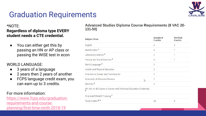

# Graduation Requirements

### \*NOTE: **Regardless of diploma type EVERY student needs a CTE credential.**

You can either get this by passing an HN or AP class or passing the WISE test in econ

### WORLD LANGUAGE:

- 3 years of a language
- 2 years then 2 years of another
- FCPS language credit exam, you can earn up to 3 credits.

### For more information:

[https://www.fcps.edu/graduation](https://www.fcps.edu/graduation-requirements-and-course-planning/first-time-ninth-2018-19)requirements-and-courseplanning/first-time-ninth-2018-19

**Advanced Studies Diploma Course Requirements (8 VAC 20-** $131-50$ 

| <b>Verified</b><br><b>Credits</b> |  |
|-----------------------------------|--|
| $\overline{2}$                    |  |
| 1                                 |  |
| 1                                 |  |
|                                   |  |
|                                   |  |
| $\overline{2}$                    |  |
|                                   |  |
|                                   |  |
|                                   |  |
|                                   |  |
|                                   |  |
| 5                                 |  |
|                                   |  |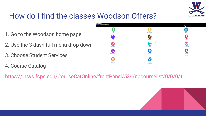

# How do I find the classes Woodson Offers?

- 1. Go to the Woodson home page
- 2. Use the 3 dash full menu drop down
- 3. Choose Student Services
- 4. Course Catalog



<https://insys.fcps.edu/CourseCatOnline/frontPanel/534/nocourselist/0/0/0/1>

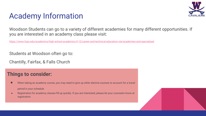

# Academy Information

Woodson Students can go to a variety of different academies for many different opportunities. If you are interested in an academy class please visit:

<https://www.fcps.edu/academics/high-school-academics-9-12/career-and-technical-education-cte/academies-and-specialized>

Students at Woodson often go to:

Chantilly, Fairfax, & Falls Church

### **Things to consider:**

- When taking an academy course, you may need to give up other elective courses to account for a travel period in your schedule.
- Registration for academy classes fill up quickly. If you are interested, please let your counselor know at registration

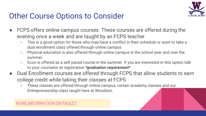

# Other Course Options to Consider

- FCPS offers online campus courses. These courses are offered during the evening once a week and are taught by an FCPS teacher
	- This is a good option for those who may have a conflict in their schedule or want to take a dual enrollment class offered through online campus
	- Physical education is also offered through online campus in the school year and over the summer
	- Econ is offered as a self paced course in the summer. If you are interested in this option talk to your counselor at registration *\*graduation requirement\**
- Dual Enrollment courses are offered through FCPS that allow students to earn college credit while taking their classes at FCPS
	- These classes are offered through online campus, certain academy classes and our Entrepreneurship class taught here at Woodson.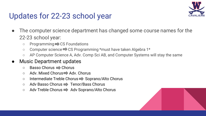

# Updates for 22-23 school year

- The computer science department has changed some course names for the 22-23 school year:
	- Programming CS Foundations
	- $\circ$  Computer science  $\Rightarrow$  CS Programming \*must have taken Algebra 1\*
	- AP Computer Science A, Adv. Comp Sci AB, and Computer Systems will stay the same
- Music Department updates
	- Basso Chorus ⇒ Chorus
	- Adv. Mixed Chorus → Adv. Chorus
	- Intermediate Treble Chorus → Soprano/Alto Chorus
	- Adv Basso Chorus ⇒ Tenor/Bass Chorus
	- Adv Treble Chorus → Adv Soprano/Alto Chorus

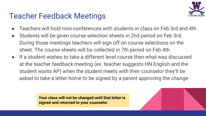

# Teacher Feedback Meetings

- Teachers will hold mini-conferences with students in class on Feb 3rd and 4th
- Students will be given course selection sheets in 2nd period on Feb 3rd. During those meetings teachers will sign off on course selections on the sheet. The course sheets will be collected in 7th period on Feb 4th
- If a student wishes to take a different level course then what was discussed at the teacher feedback meeting (ex. teacher suggests HN English and the student wants AP) when the student meets with their counselor they'll be asked to take a letter home to be signed by a parent approving the change

**Your class will not be changed until that letter is signed and returned to your counselor**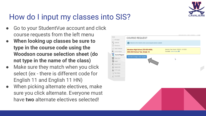

# How do I input my classes into SIS?

- Go to your StudentVue account and click course requests from the left menu
- **When looking up classes be sure to type in the course code using the Woodson course selection sheet (do not type in the name of the class)**
- Make sure they match when you click select (ex - there is different code for English 11 and English 11 HN)
- When picking alternate electives, make sure you click alternate. Everyone must have **two** alternate electives selected!

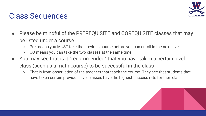

# Class Sequences

- Please be mindful of the PREREQUISITE and COREQUISITE classes that may be listed under a course
	- Pre means you MUST take the previous course before you can enroll in the next level
	- CO means you can take the two classes at the same time
- You may see that is it "recommended" that you have taken a certain level class (such as a math course) to be successful in the class
	- That is from observation of the teachers that teach the course. They see that students that have taken certain previous level classes have the highest success rate for their class.

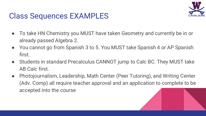

# Class Sequences EXAMPLES

- To take HN Chemistry you MUST have taken Geometry and currently be in or already passed Algebra 2.
- You cannot go from Spanish 3 to 5. You MUST take Spanish 4 or AP Spanish first.
- Students in standard Precalculus CANNOT jump to Calc BC. They MUST take AB Calc first.
- Photojournalism, Leadership, Math Center (Peer Tutoring), and Writing Center (Adv. Comp) all require teacher approval and an application to complete to be accepted into the course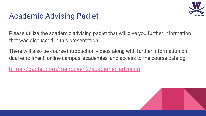

# Academic Advising Padlet

Please utilize the academic advising padlet that will give you further information that was discussed in this presentation.

There will also be course introduction videos along with further information on dual enrollment, online campus, academies, and access to the course catalog.

[https://padlet.com/menguyen2/academic\\_advising](https://padlet.com/menguyen2/academic_advising)